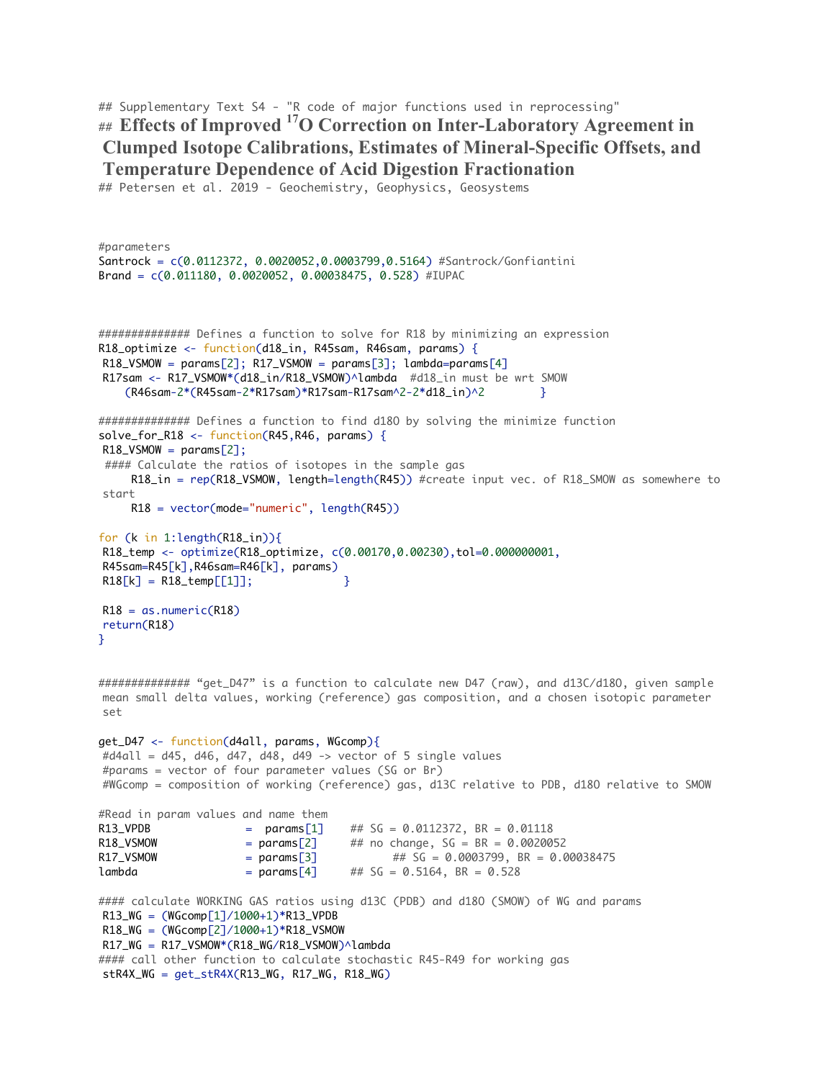```
## Supplementary Text S4 - "R code of major functions used in reprocessing"
## Effects of Improved 17O Correction on Inter-Laboratory Agreement in 
Clumped Isotope Calibrations, Estimates of Mineral-Specific Offsets, and 
Temperature Dependence of Acid Digestion Fractionation
```
## Petersen et al. 2019 - Geochemistry, Geophysics, Geosystems

#parameters

```
Santrock = c(0.0112372, 0.0020052,0.0003799,0.5164) #Santrock/Gonfiantini
Brand = c(0.011180, 0.0020052, 0.00038475, 0.528) #IUPAC
############## Defines a function to solve for R18 by minimizing an expression
R18_optimize <- function(d18_in, R45sam, R46sam, params) {
R18_VSMOW = params[2]; R17_VSMOW = params[3]; lambda=params[4]R17sam <- R17_VSMOW*(d18_in/R18_VSMOW)^lambda #d18_in must be wrt SMOW
    (R46sam-2*(R45sam-2*R17sam)*R17sam-R17sam^2-2*d18_in)^2 }
############## Defines a function to find d18O by solving the minimize function
solve_for_R18 <- function(R45,R46, params) {
R18_VSMOW = params[2];#### Calculate the ratios of isotopes in the sample gas
      R18_in = rep(R18_VSMOW, length=length(R45)) #create input vec. of R18_SMOW as somewhere to 
start
      R18 = vector(mode="numeric", length(R45))
for (k in 1:length(R18_in)){
R18_temp <- optimize(R18_optimize, c(0.00170,0.00230),tol=0.000000001, 
R45sam=R45[k],R46sam=R46[k], params)
R18[k] = R18_t = R18 [1];
R18 = as.numeric(R18)
return(R18)
}
############### "get_D47" is a function to calculate new D47 (raw), and d13C/d180, given sample
mean small delta values, working (reference) gas composition, and a chosen isotopic parameter 
set
get_D47 <- function(d4all, params, WGcomp){
\#d4all = d45, d46, d47, d48, d49 -> vector of 5 single values
#params = vector of four parameter values (SG or Br)
#WGcomp = composition of working (reference) gas, d13C relative to PDB, d18O relative to SMOW
#Read in param values and name them
R13_VPDB = params[1] \# SG = 0.0112372, BR = 0.01118<br>R18_VSMOW = params[2] \# no change, SG = BR = 0.00200
R18_VSMOW = params[2] \# no change, SG = BR = 0.0020052
R17_VSMOW = params[3] ## SG = 0.0003799, BR = 0.00038475
lambda = params[4] ## SG = 0.5164, BR = 0.528
#### calculate WORKING GAS ratios using d13C (PDB) and d18O (SMOW) of WG and params
R13_WG = (WGcomp[1]/1000+1)*R13_VPDBR18_WG = (WGcomp[2]/1000+1)*R18_VSMOWR17_WG = R17_VSMOW*(R18_WG/R18_VSMOW)^{\wedge}1ambda#### call other function to calculate stochastic R45-R49 for working gas
stR4X_WG = get_stR4X(R13_WG, R17_WG, R18_WG)
```